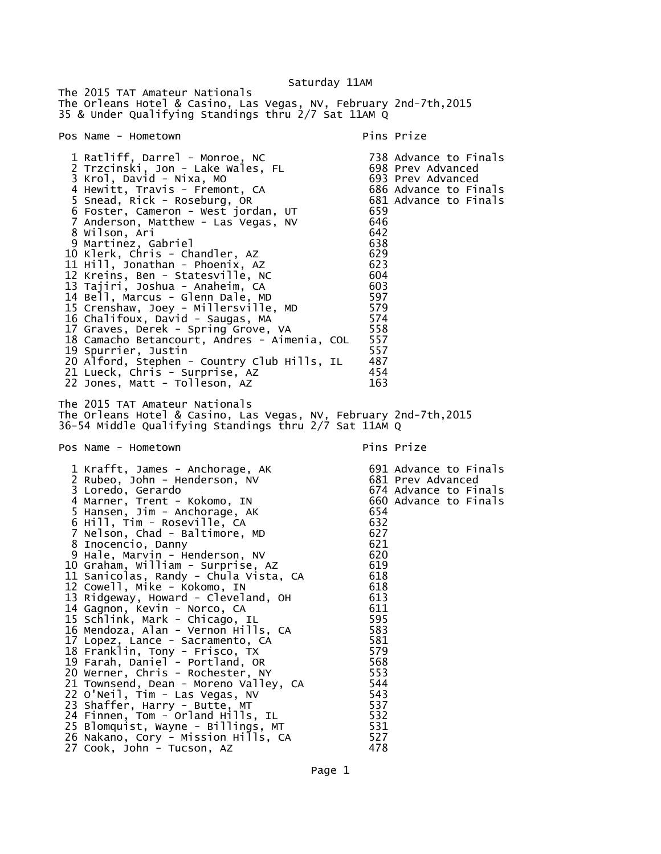The 2015 TAT Amateur Nationals The Orleans Hotel & Casino, Las Vegas, NV, February 2nd-7th,2015 35 & Under Qualifying Standings thru 2/7 Sat 11AM Q Pos Name - Hometown entry the pins Prize pins Prize 1 Ratliff, Darrel - Monroe, NC 738 Advance to Finals 2 Trzcinski, Jon - Lake Wales, FL 698 Prev Advanced 3 Krol, David - Nixa, MO 4 Hewitt, Travis - Fremont, CA 686 Advance to Finals<br>5 Snead, Rick - Roseburg, OR 681 Advance to Finals 5 Snead, Rick - Roseburg, OR 681 Advance to Finals 6 Foster, Cameron - West jordan, UT 659 7 Anderson, Matthew - Las Vegas, NV 646 8 Wilson, Ari 642 9 Martinez, Gabriel 638 10 Klerk, Chris - Chandler, AZ 629 11 Hill, Jonathan - Phoenix, AZ 623 12 Kreins, Ben - Statesville, NC 604 13 Tajiri, Joshua - Anaheim, CA 603 14 Bell, Marcus - Glenn Dale, MD 597 15 Crenshaw, Joey - Millersville, MD 579 16 Chalifoux, David - Saugas, MA 574 17 Graves, Derek - Spring Grove, VA 558 18 Camacho Betancourt, Andres - Aimenia, COL 557 19 Spurrier, Justin<br>20 Alford, Stephen - Country Club Hills, IL 487 20 Alford, Stephen - Country Club Hills, IL 487 21 Lueck, Chris - Surprise, AZ 454 22 Jones, Matt - Tolleson, AZ The 2015 TAT Amateur Nationals The Orleans Hotel & Casino, Las Vegas, NV, February 2nd-7th,2015 36-54 Middle Qualifying Standings thru 2/7 Sat 11AM Q Pos Name - Hometown entry the pins Prize pins Prize 1 Krafft, James - Anchorage, AK 691 Advance to Finals 2 Rubeo, John - Henderson, NV 681 Prev Advanced 3 Loredo, Gerardo 674 Advance to Finals 4 Marner, Trent - Kokomo, IN 660 Advance to Finals 5 Hansen, Jim - Anchorage, AK 654 6 Hill, Tim - Roseville, CA 632 7 Nelson, Chad - Baltimore, MD 627 8 Inocencio, Danny 621 9 Hale, Marvin - Henderson, NV 10 Graham, William - Surprise, AZ 619 11 Sanicolas, Randy - Chula Vista, CA 618 12 Cowell, Mike - Kokomo, IN 618 13 Ridgeway, Howard - Cleveland, OH 613 14 Gagnon, Kevin - Norco, CA 611 15 Schlink, Mark - Chicago, IL 595 16 Mendoza, Alan - Vernon Hills, CA 583 17 Lopez, Lance - Sacramento, CA 681 18 Franklin, Tony - Frisco, TX 579 19 Farah, Daniel - Portland, OR 568 20 Werner, Chris - Rochester, NY 553 21 Townsend, Dean - Moreno Valley, CA 544<br>22 O'Neil, Tim - Las Vegas, NV 543 22 O'Neil, Tim - Las Vegas, NV 543 23 Shaffer, Harry - Butte, MT 537 24 Finnen, Tom - Orland Hills, IL 532

Saturday 11AM

 25 Blomquist, Wayne - Billings, MT 531 26 Nakano, Cory - Mission Hills, CA 527

27 Cook, John - Tucson, AZ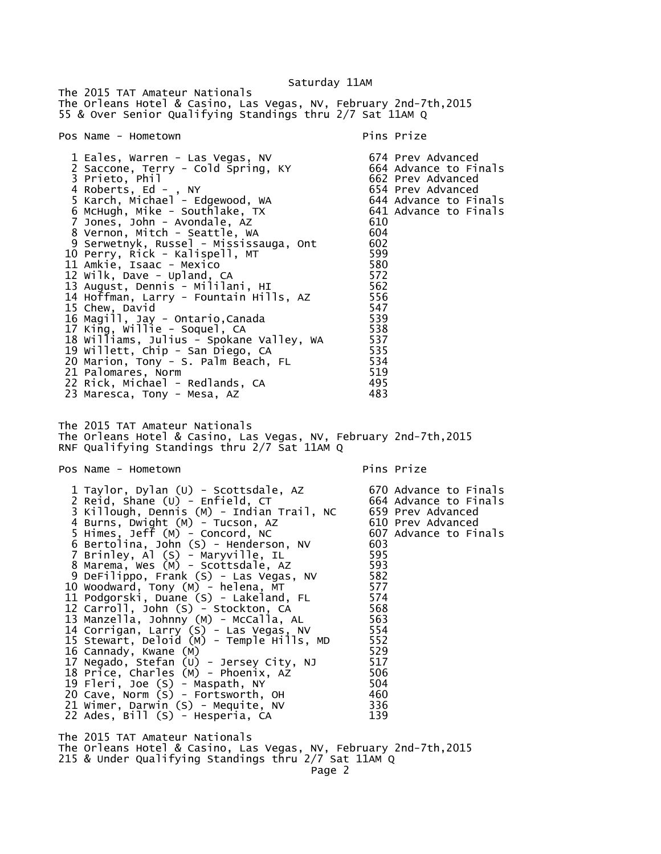Saturday 11AM The 2015 TAT Amateur Nationals The Orleans Hotel & Casino, Las Vegas, NV, February 2nd-7th,2015 55 & Over Senior Qualifying Standings thru 2/7 Sat 11AM Q Pos Name - Hometown entry the pins Prize pins Prize 1 Eales, Warren - Las Vegas, NV 674 Prev Advanced 2 Saccone, Terry - Cold Špring, KY<br>3 Prieto, Phil 662 Prev Advanced<br>654 Prev Advanced 4 Roberts, Ed - , NY 654 Prev Advanced 5 Karch, Michael - Edgewood, WA 644 Advance to Finals 6 McHugh, Mike - Southlake, TX 641 Advance to Finals 7 Jones, John - Avondale, AZ 610 8 Vernon, Mitch - Seattle, WA 604 9 Serwetnyk, Russel - Mississauga, Ont 602 10 Perry, Rick - Kalispell, MT 599 11 Amkie, Isaac - Mexico 580 12 Wilk, Dave - Upland, CA 572 13 August, Dennis - Mililani, HI 562 14 Hoffman, Larry - Fountain Hills, AZ 556 15 Chew, David 547 16 Magill, Jay - Ontario,Canada 539 17 King, Willie - Soquel, CA 538 18 Williams, Julius - Spokane Valley, WA 537 19 Willett, Chip - San Diego, CA 535 20 Marion, Tony - S. Palm Beach, FL 534 21 Palomares, Norm<br>22 Rick, Michael - Redlands, CA 495 22 Rick, Michael - Redlands, CA 495<br>23 Maresca. Tony - Mesa. AZ 483 23 Maresca, Tony - Mesa, AZ The 2015 TAT Amateur Nationals The Orleans Hotel & Casino, Las Vegas, NV, February 2nd-7th,2015 RNF Qualifying Standings thru 2/7 Sat 11AM Q Pos Name - Hometown entry the pins Prize 1 Taylor, Dylan (U) - Scottsdale, AZ 670 Advance to Finals 2 Reid, Shane (U) - Enfield, CT 664 Advance to Finals 3 Killough, Dennis (M) - Indian Trail, NC 659 Prev Advanced 4 Burns, Dwight (M) - Tucson, AZ 610 Prev Advanced 5 Himes, Jeff (M) - Concord, NC 607 Advance to Finals 6 Bertolina, John (S) - Henderson, NV 603 7 Brinley, Al (S) - Maryville, IL 595 8 Marema, Wes (M) - Scottsdale, AZ 593 9 DeFilippo, Frank (S) - Las Vegas, NV 582 10 Woodward, Tony (M) - helena, MT 577 11 Podgorski, Duane (S) - Lakeland, FL 574 12 Carroll, John (S) - Stockton, CA 568 13 Manzella, Johnny (M) - McCalla, AL 563 14 Corrigan, Larry (S) - Las Vegas, NV 554 15 Stewart, Deloid (M) - Temple Hills, MD 552 16 Cannady, Kwane (M) 529 17 Negado, Stefan (U) - Jersey City, NJ 517 18 Price, Charles (M) - Phoenix, AZ 506 19 Fleri, Joe (S) - Maspath, NY 504 20 Cave, Norm (S) - Fortsworth, OH 460 21 Wimer, Darwin (S) - Mequite, NV 336 22 Ades, Bill (S) - Hesperia, CA 139 The 2015 TAT Amateur Nationals The Orleans Hotel & Casino, Las Vegas, NV, February 2nd-7th,2015 215 & Under Qualifying Standings thru 2/7 Sat 11AM Q

Page 2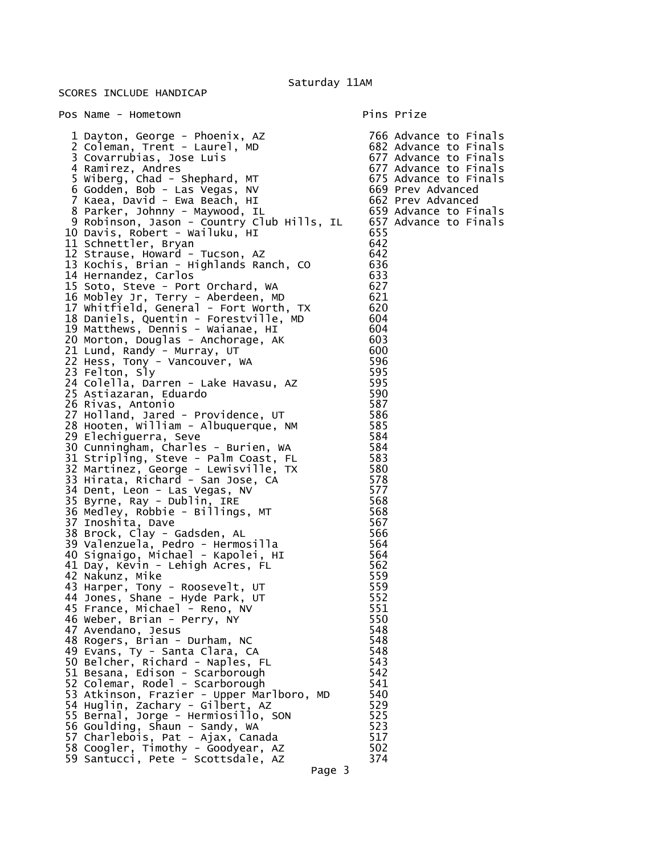## SCORES INCLUDE HANDICAP

Pos Name - Hometown entry and the Pins Prize 1 Dayton, George - Phoenix, AZ 766 Advance to Finals 2 Coleman, Trent - Laurel, MD 682 Advance to Finals 3 Covarrubias, Jose Luis (1999) 677 Advance to Finals<br>4 Ramirez, Andres (1999) 677 Advance to Finals 5 Wiberg, Chad - Shephard, MT 675 Advance to Finals 6 Godden, Bob - Las Vegas, NV 669 Prev Advanced 7 Kaea, David - Ewa Beach, HI 662 Prev Advanced 8 Parker, Johnny - Maywood, IL 659 Advance to Finals 9 Robinson, Jason - Country Club Hills, IL 657 Advance to Finals 10 Davis, Robert - Wailuku, HI 655 11 Schnettler, Bryan 642 12 Strause, Howard - Tucson, AZ 642 13 Kochis, Brian - Highlands Ranch, CO 636 14 Hernandez, Carlos 633 15 Soto, Steve - Port Orchard, WA 627 16 Mobley Jr, Terry - Aberdeen, MD 621 17 Whitfield, General - Fort Worth, TX 620 18 Daniels, Quentin - Forestville, MD 604 19 Matthews, Dennis - Waianae, HI 604 20 Morton, Douglas - Anchorage, AK 603 21 Lund, Randy - Murray, UT 600 22 Hess, Tony - Vancouver, WA 596 23 Felton, Sly 595 24 Colella, Darren - Lake Havasu, AZ 595 25 Astiazaran, Eduardo 590 26 Rivas, Antonio 587 27 Holland, Jared - Providence, UT 586 28 Hooten, William - Albuquerque, NM 585 29 Elechiguerra, Seve 584 30 Cunningham, Charles - Burien, WA 584 31 Stripling, Steve - Palm Coast, FL 583 32 Martinez, George - Lewisville, TX 580 33 Hirata, Richard - San Jose, CA 578 34 Dent, Leon - Las Vegas, NV 577 35 Byrne, Ray - Dublin, IRE 568 36 Medley, Robbie - Billings, MT 568 37 Inoshita, Dave 567 38 Brock, Clay - Gadsden, AL 566 39 Valenzuela, Pedro - Hermosilla 564 40 Signaigo, Michael - Kapolei, HI 564 41 Day, Kevin - Lehigh Acres, FL 562 42 Nakunz, Mike 559 43 Harper, Tony - Roosevelt, UT 559 44 Jones, Shane - Hyde Park, UT 552 45 France, Michael - Reno, NV 551 46 Weber, Brian - Perry, NY 550 47 Avendano, Jesus 1988 (1988)<br>18 Rogers. Brian - Durham. NC 1988 (1988) (1988) 48 Rogers, Brian - Durham, NC 548 49 Evans, Ty - Santa Clara, CA 548 50 Belcher, Richard - Naples, FL 543 51 Besana, Edison - Scarborough 542 52 Colemar, Rodel - Scarborough 541 53 Atkinson, Frazier - Upper Marlboro, MD 540 54 Huglin, Zachary - Gilbert, AZ 529 55 Bernal, Jorge - Hermiosillo, SON 525 56 Goulding, Shaun - Sandy, WA 523 57 Charlebois, Pat - Ajax, Canada 517 58 Coogler, Timothy - Goodyear, AZ 502 59 Santucci, Pete - Scottsdale, AZ

677 Advance to Finals<br>675 Advance to Finals